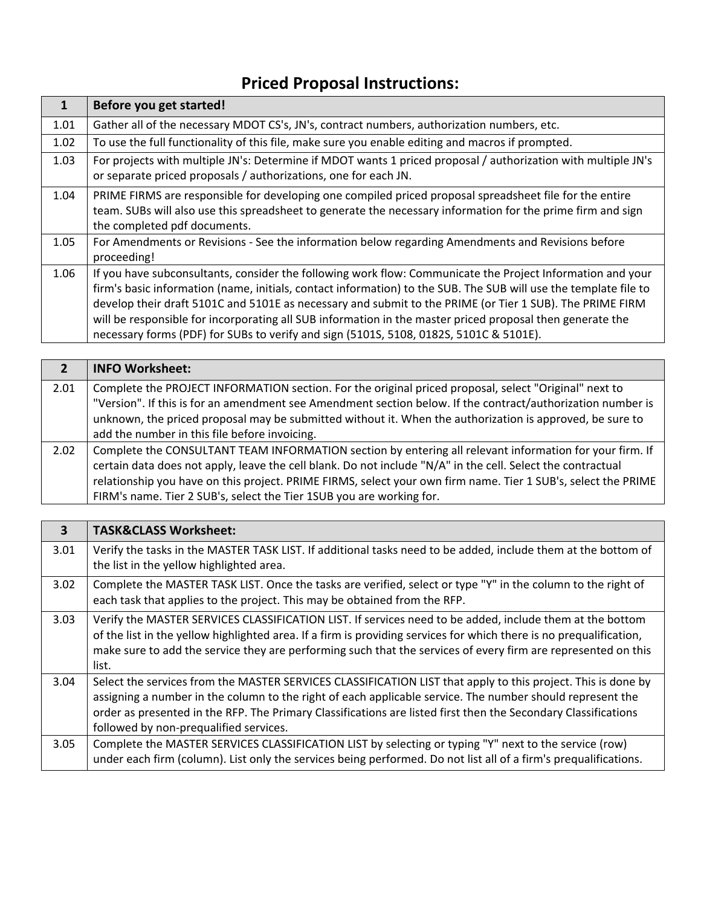## **Priced Proposal Instructions:**

| 1    | Before you get started!                                                                                                                                                                                                                                                                                                                                                                                                                                                                                                                           |
|------|---------------------------------------------------------------------------------------------------------------------------------------------------------------------------------------------------------------------------------------------------------------------------------------------------------------------------------------------------------------------------------------------------------------------------------------------------------------------------------------------------------------------------------------------------|
| 1.01 | Gather all of the necessary MDOT CS's, JN's, contract numbers, authorization numbers, etc.                                                                                                                                                                                                                                                                                                                                                                                                                                                        |
| 1.02 | To use the full functionality of this file, make sure you enable editing and macros if prompted.                                                                                                                                                                                                                                                                                                                                                                                                                                                  |
| 1.03 | For projects with multiple JN's: Determine if MDOT wants 1 priced proposal / authorization with multiple JN's<br>or separate priced proposals / authorizations, one for each JN.                                                                                                                                                                                                                                                                                                                                                                  |
| 1.04 | PRIME FIRMS are responsible for developing one compiled priced proposal spreadsheet file for the entire<br>team. SUBs will also use this spreadsheet to generate the necessary information for the prime firm and sign<br>the completed pdf documents.                                                                                                                                                                                                                                                                                            |
| 1.05 | For Amendments or Revisions - See the information below regarding Amendments and Revisions before<br>proceeding!                                                                                                                                                                                                                                                                                                                                                                                                                                  |
| 1.06 | If you have subconsultants, consider the following work flow: Communicate the Project Information and your<br>firm's basic information (name, initials, contact information) to the SUB. The SUB will use the template file to<br>develop their draft 5101C and 5101E as necessary and submit to the PRIME (or Tier 1 SUB). The PRIME FIRM<br>will be responsible for incorporating all SUB information in the master priced proposal then generate the<br>necessary forms (PDF) for SUBs to verify and sign (5101S, 5108, 0182S, 5101C & 5101E). |

|      | <b>INFO Worksheet:</b>                                                                                                                                                                                               |
|------|----------------------------------------------------------------------------------------------------------------------------------------------------------------------------------------------------------------------|
| 2.01 | Complete the PROJECT INFORMATION section. For the original priced proposal, select "Original" next to<br>"Version". If this is for an amendment see Amendment section below. If the contract/authorization number is |
|      | unknown, the priced proposal may be submitted without it. When the authorization is approved, be sure to                                                                                                             |
|      | add the number in this file before invoicing.                                                                                                                                                                        |
| 2.02 | Complete the CONSULTANT TEAM INFORMATION section by entering all relevant information for your firm. If                                                                                                              |
|      | certain data does not apply, leave the cell blank. Do not include "N/A" in the cell. Select the contractual                                                                                                          |
|      | relationship you have on this project. PRIME FIRMS, select your own firm name. Tier 1 SUB's, select the PRIME                                                                                                        |
|      | FIRM's name. Tier 2 SUB's, select the Tier 1SUB you are working for.                                                                                                                                                 |

| $\overline{\mathbf{3}}$ | <b>TASK&amp;CLASS Worksheet:</b>                                                                                                                                                                                                                                                                                                                                                      |
|-------------------------|---------------------------------------------------------------------------------------------------------------------------------------------------------------------------------------------------------------------------------------------------------------------------------------------------------------------------------------------------------------------------------------|
| 3.01                    | Verify the tasks in the MASTER TASK LIST. If additional tasks need to be added, include them at the bottom of<br>the list in the yellow highlighted area.                                                                                                                                                                                                                             |
| 3.02                    | Complete the MASTER TASK LIST. Once the tasks are verified, select or type "Y" in the column to the right of<br>each task that applies to the project. This may be obtained from the RFP.                                                                                                                                                                                             |
| 3.03                    | Verify the MASTER SERVICES CLASSIFICATION LIST. If services need to be added, include them at the bottom<br>of the list in the yellow highlighted area. If a firm is providing services for which there is no prequalification,<br>make sure to add the service they are performing such that the services of every firm are represented on this<br>list.                             |
| 3.04                    | Select the services from the MASTER SERVICES CLASSIFICATION LIST that apply to this project. This is done by<br>assigning a number in the column to the right of each applicable service. The number should represent the<br>order as presented in the RFP. The Primary Classifications are listed first then the Secondary Classifications<br>followed by non-prequalified services. |
| 3.05                    | Complete the MASTER SERVICES CLASSIFICATION LIST by selecting or typing "Y" next to the service (row)<br>under each firm (column). List only the services being performed. Do not list all of a firm's prequalifications.                                                                                                                                                             |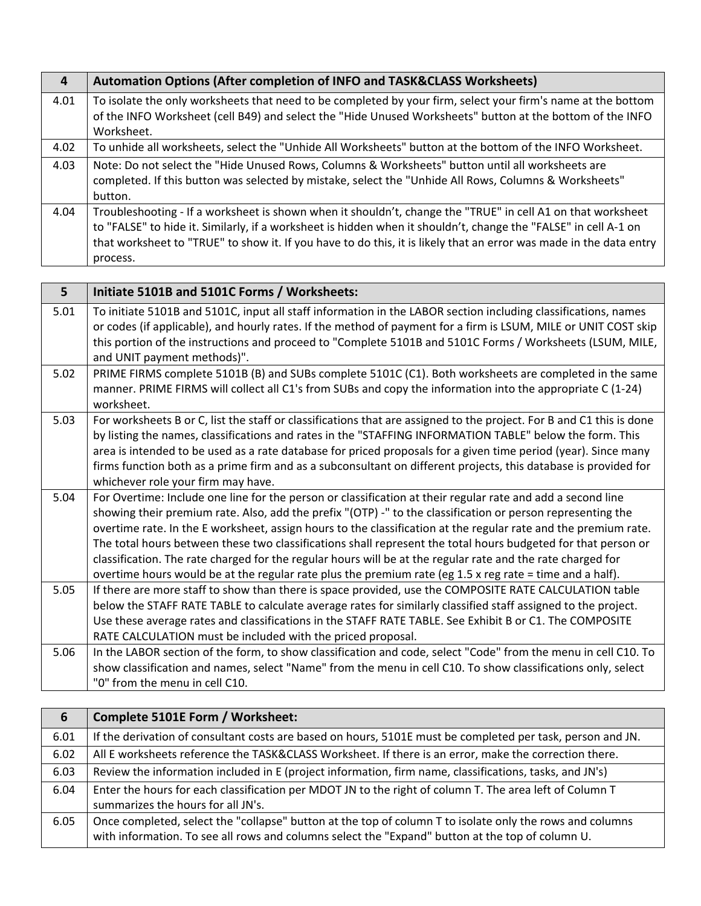| 4    | Automation Options (After completion of INFO and TASK&CLASS Worksheets)                                            |
|------|--------------------------------------------------------------------------------------------------------------------|
| 4.01 | To isolate the only worksheets that need to be completed by your firm, select your firm's name at the bottom       |
|      | of the INFO Worksheet (cell B49) and select the "Hide Unused Worksheets" button at the bottom of the INFO          |
|      | Worksheet.                                                                                                         |
| 4.02 | To unhide all worksheets, select the "Unhide All Worksheets" button at the bottom of the INFO Worksheet.           |
| 4.03 | Note: Do not select the "Hide Unused Rows, Columns & Worksheets" button until all worksheets are                   |
|      | completed. If this button was selected by mistake, select the "Unhide All Rows, Columns & Worksheets"              |
|      | button.                                                                                                            |
| 4.04 | Troubleshooting - If a worksheet is shown when it shouldn't, change the "TRUE" in cell A1 on that worksheet        |
|      | to "FALSE" to hide it. Similarly, if a worksheet is hidden when it shouldn't, change the "FALSE" in cell A-1 on    |
|      | that worksheet to "TRUE" to show it. If you have to do this, it is likely that an error was made in the data entry |
|      | process.                                                                                                           |

| 5    | Initiate 5101B and 5101C Forms / Worksheets:                                                                                                                                                                                                                                                                                                                                                                                                                                                                                                                                                                                                                                              |
|------|-------------------------------------------------------------------------------------------------------------------------------------------------------------------------------------------------------------------------------------------------------------------------------------------------------------------------------------------------------------------------------------------------------------------------------------------------------------------------------------------------------------------------------------------------------------------------------------------------------------------------------------------------------------------------------------------|
| 5.01 | To initiate 5101B and 5101C, input all staff information in the LABOR section including classifications, names<br>or codes (if applicable), and hourly rates. If the method of payment for a firm is LSUM, MILE or UNIT COST skip<br>this portion of the instructions and proceed to "Complete 5101B and 5101C Forms / Worksheets (LSUM, MILE,<br>and UNIT payment methods)".                                                                                                                                                                                                                                                                                                             |
| 5.02 | PRIME FIRMS complete 5101B (B) and SUBs complete 5101C (C1). Both worksheets are completed in the same<br>manner. PRIME FIRMS will collect all C1's from SUBs and copy the information into the appropriate C (1-24)<br>worksheet.                                                                                                                                                                                                                                                                                                                                                                                                                                                        |
| 5.03 | For worksheets B or C, list the staff or classifications that are assigned to the project. For B and C1 this is done<br>by listing the names, classifications and rates in the "STAFFING INFORMATION TABLE" below the form. This<br>area is intended to be used as a rate database for priced proposals for a given time period (year). Since many<br>firms function both as a prime firm and as a subconsultant on different projects, this database is provided for<br>whichever role your firm may have.                                                                                                                                                                               |
| 5.04 | For Overtime: Include one line for the person or classification at their regular rate and add a second line<br>showing their premium rate. Also, add the prefix "(OTP) -" to the classification or person representing the<br>overtime rate. In the E worksheet, assign hours to the classification at the regular rate and the premium rate.<br>The total hours between these two classifications shall represent the total hours budgeted for that person or<br>classification. The rate charged for the regular hours will be at the regular rate and the rate charged for<br>overtime hours would be at the regular rate plus the premium rate (eg 1.5 x reg rate = time and a half). |
| 5.05 | If there are more staff to show than there is space provided, use the COMPOSITE RATE CALCULATION table<br>below the STAFF RATE TABLE to calculate average rates for similarly classified staff assigned to the project.<br>Use these average rates and classifications in the STAFF RATE TABLE. See Exhibit B or C1. The COMPOSITE<br>RATE CALCULATION must be included with the priced proposal.                                                                                                                                                                                                                                                                                         |
| 5.06 | In the LABOR section of the form, to show classification and code, select "Code" from the menu in cell C10. To<br>show classification and names, select "Name" from the menu in cell C10. To show classifications only, select<br>"0" from the menu in cell C10.                                                                                                                                                                                                                                                                                                                                                                                                                          |

| 6    | Complete 5101E Form / Worksheet:                                                                                                                                                                             |
|------|--------------------------------------------------------------------------------------------------------------------------------------------------------------------------------------------------------------|
| 6.01 | If the derivation of consultant costs are based on hours, 5101E must be completed per task, person and JN.                                                                                                   |
| 6.02 | All E worksheets reference the TASK&CLASS Worksheet. If there is an error, make the correction there.                                                                                                        |
| 6.03 | Review the information included in E (project information, firm name, classifications, tasks, and JN's)                                                                                                      |
| 6.04 | Enter the hours for each classification per MDOT JN to the right of column T. The area left of Column T<br>summarizes the hours for all JN's.                                                                |
| 6.05 | Once completed, select the "collapse" button at the top of column T to isolate only the rows and columns<br>with information. To see all rows and columns select the "Expand" button at the top of column U. |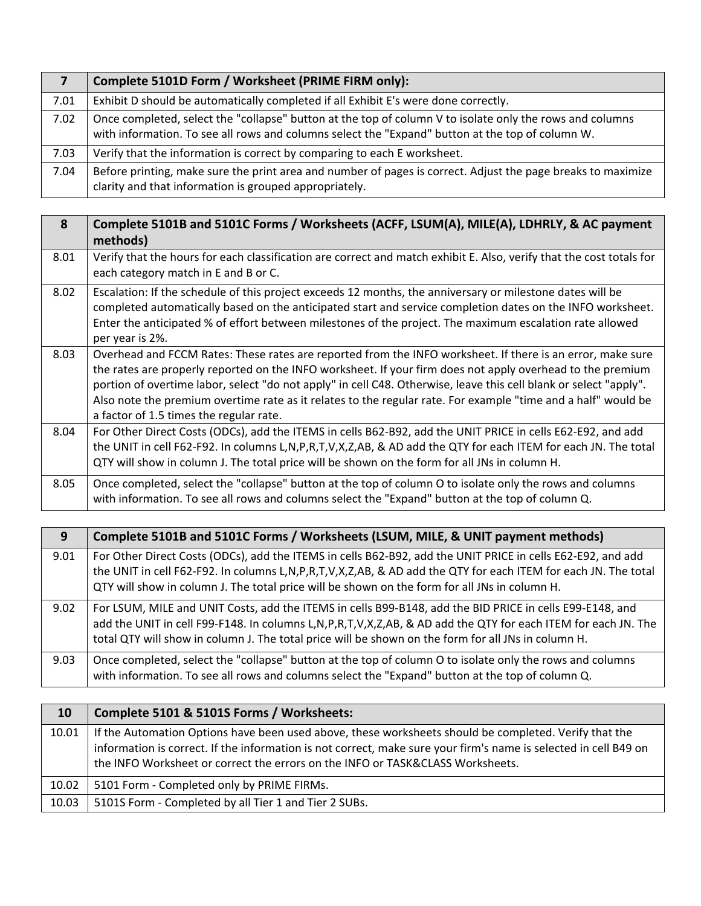|      | Complete 5101D Form / Worksheet (PRIME FIRM only):                                                                                                                                                           |
|------|--------------------------------------------------------------------------------------------------------------------------------------------------------------------------------------------------------------|
| 7.01 | Exhibit D should be automatically completed if all Exhibit E's were done correctly.                                                                                                                          |
| 7.02 | Once completed, select the "collapse" button at the top of column V to isolate only the rows and columns<br>with information. To see all rows and columns select the "Expand" button at the top of column W. |
| 7.03 | Verify that the information is correct by comparing to each E worksheet.                                                                                                                                     |
| 7.04 | Before printing, make sure the print area and number of pages is correct. Adjust the page breaks to maximize<br>clarity and that information is grouped appropriately.                                       |

| 8    | Complete 5101B and 5101C Forms / Worksheets (ACFF, LSUM(A), MILE(A), LDHRLY, & AC payment<br>methods)                                                                                                                                                                                                                                                                                                                                                                                                     |
|------|-----------------------------------------------------------------------------------------------------------------------------------------------------------------------------------------------------------------------------------------------------------------------------------------------------------------------------------------------------------------------------------------------------------------------------------------------------------------------------------------------------------|
| 8.01 | Verify that the hours for each classification are correct and match exhibit E. Also, verify that the cost totals for<br>each category match in E and B or C.                                                                                                                                                                                                                                                                                                                                              |
| 8.02 | Escalation: If the schedule of this project exceeds 12 months, the anniversary or milestone dates will be<br>completed automatically based on the anticipated start and service completion dates on the INFO worksheet.<br>Enter the anticipated % of effort between milestones of the project. The maximum escalation rate allowed<br>per year is 2%.                                                                                                                                                    |
| 8.03 | Overhead and FCCM Rates: These rates are reported from the INFO worksheet. If there is an error, make sure<br>the rates are properly reported on the INFO worksheet. If your firm does not apply overhead to the premium<br>portion of overtime labor, select "do not apply" in cell C48. Otherwise, leave this cell blank or select "apply".<br>Also note the premium overtime rate as it relates to the regular rate. For example "time and a half" would be<br>a factor of 1.5 times the regular rate. |
| 8.04 | For Other Direct Costs (ODCs), add the ITEMS in cells B62-B92, add the UNIT PRICE in cells E62-E92, and add<br>the UNIT in cell F62-F92. In columns L,N,P,R,T,V,X,Z,AB, & AD add the QTY for each ITEM for each JN. The total<br>QTY will show in column J. The total price will be shown on the form for all JNs in column H.                                                                                                                                                                            |
| 8.05 | Once completed, select the "collapse" button at the top of column O to isolate only the rows and columns<br>with information. To see all rows and columns select the "Expand" button at the top of column Q.                                                                                                                                                                                                                                                                                              |

| 9    | Complete 5101B and 5101C Forms / Worksheets (LSUM, MILE, & UNIT payment methods)                                                                                                                                                                                                                                                 |
|------|----------------------------------------------------------------------------------------------------------------------------------------------------------------------------------------------------------------------------------------------------------------------------------------------------------------------------------|
| 9.01 | For Other Direct Costs (ODCs), add the ITEMS in cells B62-B92, add the UNIT PRICE in cells E62-E92, and add<br>the UNIT in cell F62-F92. In columns L,N,P,R,T,V,X,Z,AB, & AD add the QTY for each ITEM for each JN. The total<br>QTY will show in column J. The total price will be shown on the form for all JNs in column H.   |
| 9.02 | For LSUM, MILE and UNIT Costs, add the ITEMS in cells B99-B148, add the BID PRICE in cells E99-E148, and<br>add the UNIT in cell F99-F148. In columns L,N,P,R,T,V,X,Z,AB, & AD add the QTY for each ITEM for each JN. The<br>total QTY will show in column J. The total price will be shown on the form for all JNs in column H. |
| 9.03 | Once completed, select the "collapse" button at the top of column O to isolate only the rows and columns<br>with information. To see all rows and columns select the "Expand" button at the top of column Q.                                                                                                                     |

| <b>10</b> | Complete 5101 & 5101S Forms / Worksheets:                                                                                                                                                                                                                                                                   |
|-----------|-------------------------------------------------------------------------------------------------------------------------------------------------------------------------------------------------------------------------------------------------------------------------------------------------------------|
| 10.01     | If the Automation Options have been used above, these worksheets should be completed. Verify that the<br>information is correct. If the information is not correct, make sure your firm's name is selected in cell B49 on<br>the INFO Worksheet or correct the errors on the INFO or TASK&CLASS Worksheets. |
| 10.02     | 5101 Form - Completed only by PRIME FIRMs.                                                                                                                                                                                                                                                                  |
| 10.03     | 5101S Form - Completed by all Tier 1 and Tier 2 SUBs.                                                                                                                                                                                                                                                       |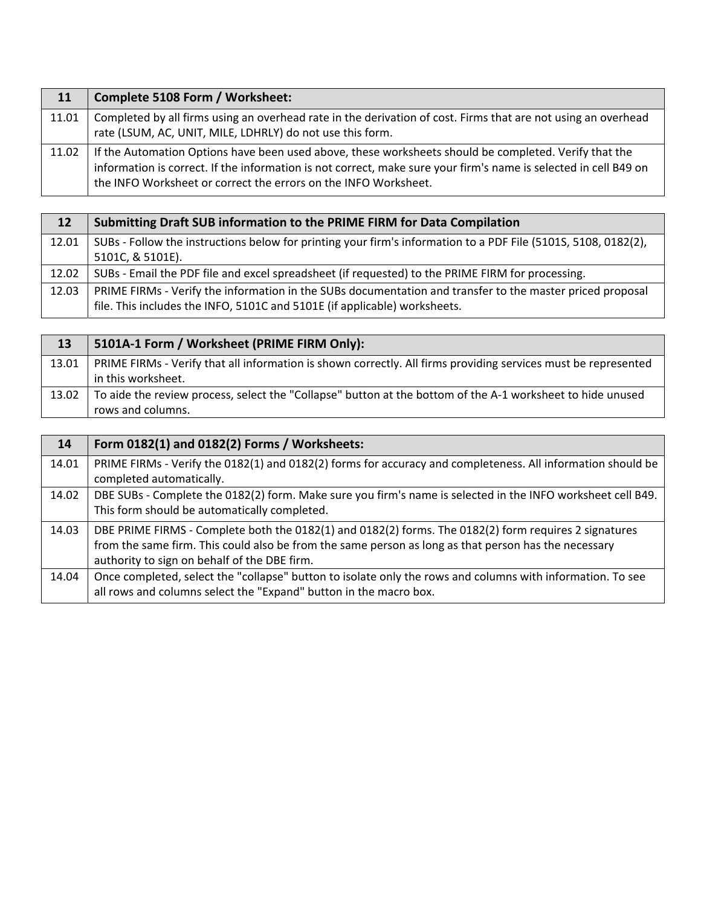| 11    | Complete 5108 Form / Worksheet:                                                                                  |
|-------|------------------------------------------------------------------------------------------------------------------|
| 11.01 | Completed by all firms using an overhead rate in the derivation of cost. Firms that are not using an overhead    |
|       | rate (LSUM, AC, UNIT, MILE, LDHRLY) do not use this form.                                                        |
| 11.02 | If the Automation Options have been used above, these worksheets should be completed. Verify that the            |
|       | information is correct. If the information is not correct, make sure your firm's name is selected in cell B49 on |
|       | the INFO Worksheet or correct the errors on the INFO Worksheet.                                                  |

| 12    | Submitting Draft SUB information to the PRIME FIRM for Data Compilation                                        |
|-------|----------------------------------------------------------------------------------------------------------------|
| 12.01 | SUBs - Follow the instructions below for printing your firm's information to a PDF File (5101S, 5108, 0182(2), |
|       | 5101C, & 5101E).                                                                                               |
| 12.02 | SUBs - Email the PDF file and excel spreadsheet (if requested) to the PRIME FIRM for processing.               |
| 12.03 | PRIME FIRMs - Verify the information in the SUBs documentation and transfer to the master priced proposal      |
|       | file. This includes the INFO, 5101C and 5101E (if applicable) worksheets.                                      |

| 13    | 5101A-1 Form / Worksheet (PRIME FIRM Only):                                                                    |
|-------|----------------------------------------------------------------------------------------------------------------|
| 13.01 | PRIME FIRMs - Verify that all information is shown correctly. All firms providing services must be represented |
|       | in this worksheet.                                                                                             |
| 13.02 | To aide the review process, select the "Collapse" button at the bottom of the A-1 worksheet to hide unused     |
|       | rows and columns.                                                                                              |

| 14    | Form 0182(1) and 0182(2) Forms / Worksheets:                                                                |
|-------|-------------------------------------------------------------------------------------------------------------|
| 14.01 | PRIME FIRMs - Verify the 0182(1) and 0182(2) forms for accuracy and completeness. All information should be |
|       | completed automatically.                                                                                    |
| 14.02 | DBE SUBs - Complete the 0182(2) form. Make sure you firm's name is selected in the INFO worksheet cell B49. |
|       | This form should be automatically completed.                                                                |
| 14.03 | DBE PRIME FIRMS - Complete both the 0182(1) and 0182(2) forms. The 0182(2) form requires 2 signatures       |
|       | from the same firm. This could also be from the same person as long as that person has the necessary        |
|       | authority to sign on behalf of the DBE firm.                                                                |
| 14.04 | Once completed, select the "collapse" button to isolate only the rows and columns with information. To see  |
|       | all rows and columns select the "Expand" button in the macro box.                                           |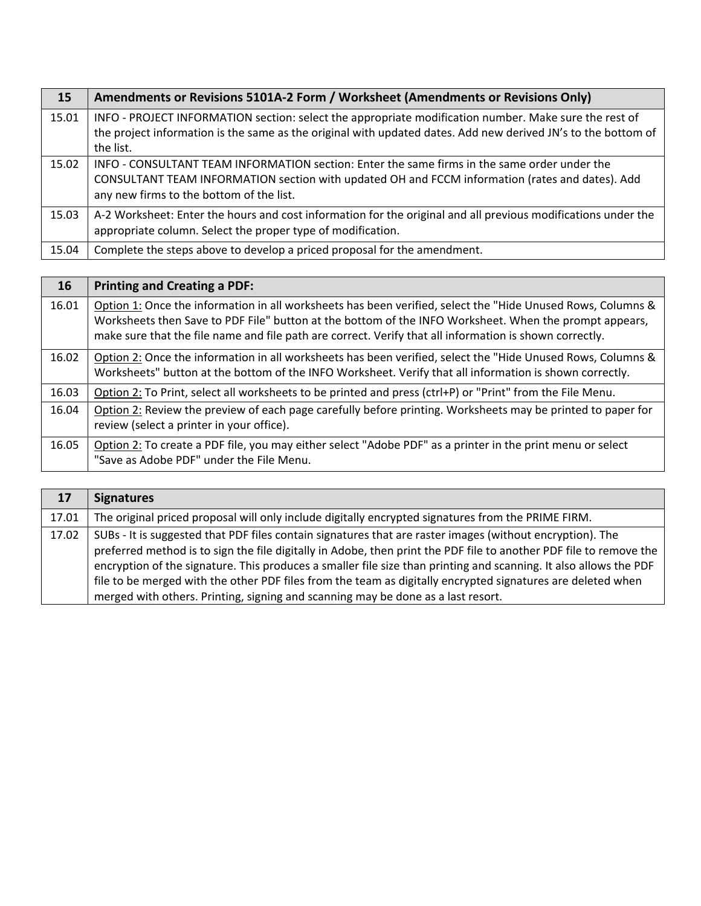| 15    | Amendments or Revisions 5101A-2 Form / Worksheet (Amendments or Revisions Only)                                                                                                                                                             |
|-------|---------------------------------------------------------------------------------------------------------------------------------------------------------------------------------------------------------------------------------------------|
| 15.01 | INFO - PROJECT INFORMATION section: select the appropriate modification number. Make sure the rest of<br>the project information is the same as the original with updated dates. Add new derived JN's to the bottom of<br>the list.         |
| 15.02 | INFO - CONSULTANT TEAM INFORMATION section: Enter the same firms in the same order under the<br>CONSULTANT TEAM INFORMATION section with updated OH and FCCM information (rates and dates). Add<br>any new firms to the bottom of the list. |
| 15.03 | A-2 Worksheet: Enter the hours and cost information for the original and all previous modifications under the<br>appropriate column. Select the proper type of modification.                                                                |
| 15.04 | Complete the steps above to develop a priced proposal for the amendment.                                                                                                                                                                    |

| 16    | <b>Printing and Creating a PDF:</b>                                                                                                                                                                                                                                                                                              |
|-------|----------------------------------------------------------------------------------------------------------------------------------------------------------------------------------------------------------------------------------------------------------------------------------------------------------------------------------|
| 16.01 | Option 1: Once the information in all worksheets has been verified, select the "Hide Unused Rows, Columns &<br>Worksheets then Save to PDF File" button at the bottom of the INFO Worksheet. When the prompt appears,<br>make sure that the file name and file path are correct. Verify that all information is shown correctly. |
| 16.02 | Option 2: Once the information in all worksheets has been verified, select the "Hide Unused Rows, Columns &<br>Worksheets" button at the bottom of the INFO Worksheet. Verify that all information is shown correctly.                                                                                                           |
| 16.03 | Option 2: To Print, select all worksheets to be printed and press (ctrl+P) or "Print" from the File Menu.                                                                                                                                                                                                                        |
| 16.04 | Option 2: Review the preview of each page carefully before printing. Worksheets may be printed to paper for<br>review (select a printer in your office).                                                                                                                                                                         |
| 16.05 | Option 2: To create a PDF file, you may either select "Adobe PDF" as a printer in the print menu or select<br>"Save as Adobe PDF" under the File Menu.                                                                                                                                                                           |

| 17    | <b>Signatures</b>                                                                                                                                                                                                                                                                                                                                                                                                                                                                                                                                       |
|-------|---------------------------------------------------------------------------------------------------------------------------------------------------------------------------------------------------------------------------------------------------------------------------------------------------------------------------------------------------------------------------------------------------------------------------------------------------------------------------------------------------------------------------------------------------------|
| 17.01 | The original priced proposal will only include digitally encrypted signatures from the PRIME FIRM.                                                                                                                                                                                                                                                                                                                                                                                                                                                      |
| 17.02 | SUBs - It is suggested that PDF files contain signatures that are raster images (without encryption). The<br>preferred method is to sign the file digitally in Adobe, then print the PDF file to another PDF file to remove the<br>encryption of the signature. This produces a smaller file size than printing and scanning. It also allows the PDF<br>file to be merged with the other PDF files from the team as digitally encrypted signatures are deleted when<br>merged with others. Printing, signing and scanning may be done as a last resort. |